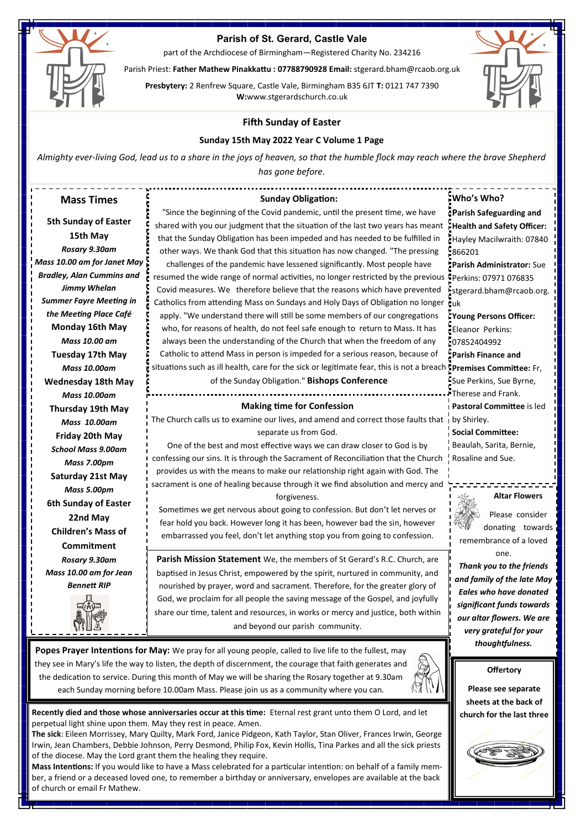

# **Parish of St. Gerard, Castle Vale**

part of the Archdiocese of Birmingham—Registered Charity No. 234216

Parish Priest: **Father Mathew Pinakkattu : 07788790928 Email:** stgerard.bham@rcaob.org.uk

**Presbytery:** 2 Renfrew Square, Castle Vale, Birmingham B35 6JT **T:** 0121 747 7390 **W:**www.stgerardschurch.co.uk



## **Fifth Sunday of Easter**

### **Sunday 15th May 2022 Year C Volume 1 Page**

*Almighty ever-living God, lead us to a share in the joys of heaven, so that the humble flock may reach where the brave Shepherd has gone before.*

| <b>Sunday Obligation:</b><br><b>Mass Times</b>                                                                                               | : Who's Who?                                 |
|----------------------------------------------------------------------------------------------------------------------------------------------|----------------------------------------------|
| "Since the beginning of the Covid pandemic, until the present time, we have                                                                  | <b>: Parish Safeguarding and</b>             |
| <b>5th Sunday of Easter</b><br>shared with you our judgment that the situation of the last two years has meant                               | Health and Safety Officer:                   |
| 15th May<br>that the Sunday Obligation has been impeded and has needed to be fulfilled in                                                    | Hayley Macilwraith: 07840                    |
| Rosary 9.30am<br>other ways. We thank God that this situation has now changed. "The pressing                                                 | 866201                                       |
| Mass 10.00 am for Janet May<br>challenges of the pandemic have lessened significantly. Most people have                                      | <b>Parish Administrator: Sue</b>             |
| <b>Bradley, Alan Cummins and</b><br>resumed the wide range of normal activities, no longer restricted by the previous CPerkins: 07971 076835 |                                              |
| <b>Jimmy Whelan</b><br>Covid measures. We therefore believe that the reasons which have prevented                                            | stgerard.bham@rcaob.org.                     |
| <b>Summer Fayre Meeting in</b><br>Catholics from attending Mass on Sundays and Holy Days of Obligation no longer ruk                         |                                              |
| the Meeting Place Café<br>apply. "We understand there will still be some members of our congregations                                        | Young Persons Officer:                       |
| Monday 16th May<br>who, for reasons of health, do not feel safe enough to return to Mass. It has                                             | Eleanor Perkins:                             |
| Mass 10.00 am<br>always been the understanding of the Church that when the freedom of any                                                    | 107852404992                                 |
| Catholic to attend Mass in person is impeded for a serious reason, because of<br><b>Tuesday 17th May</b>                                     | Parish Finance and                           |
| situations such as ill health, care for the sick or legitimate fear, this is not a breach premises Committee: Fr,<br><b>Mass 10.00am</b>     |                                              |
| of the Sunday Obligation." Bishops Conference<br><b>Wednesday 18th May</b>                                                                   | Sue Perkins, Sue Byrne,                      |
| <b>Mass 10.00am</b>                                                                                                                          | Therese and Frank.                           |
| <b>Making time for Confession</b><br>Thursday 19th May                                                                                       | I Pastoral Committee is led                  |
| The Church calls us to examine our lives, and amend and correct those faults that i by Shirley.<br><b>Mass 10.00am</b>                       |                                              |
| separate us from God.<br>Friday 20th May                                                                                                     | Social Committee:                            |
| One of the best and most effective ways we can draw closer to God is by<br><b>School Mass 9.00am</b>                                         | Beaulah, Sarita, Bernie,                     |
| confessing our sins. It is through the Sacrament of Reconciliation that the Church<br>Mass 7.00pm                                            | Rosaline and Sue.                            |
| provides us with the means to make our relationship right again with God. The<br>Saturday 21st May                                           |                                              |
| sacrament is one of healing because through it we find absolution and mercy and<br>Mass 5.00pm                                               |                                              |
| forgiveness.<br>6th Sunday of Easter                                                                                                         | <b>Altar Flowers</b>                         |
| Sometimes we get nervous about going to confession. But don't let nerves or<br>22nd May                                                      | Please consider                              |
| fear hold you back. However long it has been, however bad the sin, however<br><b>Children's Mass of</b>                                      | donating towards                             |
| embarrassed you feel, don't let anything stop you from going to confession.                                                                  | remembrance of a loved                       |
| <b>Commitment</b>                                                                                                                            | one.                                         |
| Parish Mission Statement We, the members of St Gerard's R.C. Church, are<br>Rosary 9.30am                                                    | Thank you to the friends                     |
| Mass 10.00 am for Jean<br>baptised in Jesus Christ, empowered by the spirit, nurtured in community, and                                      | and family of the late May                   |
| <b>Bennett RIP</b><br>nourished by prayer, word and sacrament. Therefore, for the greater glory of                                           | <b>Eales who have donated</b>                |
| God, we proclaim for all people the saving message of the Gospel, and joyfully                                                               | significant funds towards                    |
| share our time, talent and resources, in works or mercy and justice, both within                                                             | our altar flowers. We are                    |
| and beyond our parish community.<br>\!} !!! 243                                                                                              | very grateful for your                       |
|                                                                                                                                              | thoughtfulness.                              |
| Popes Prayer Intentions for May: We pray for all young people, called to live life to the fullest, may                                       |                                              |
| they see in Mary's life the way to listen, the depth of discernment, the courage that faith generates and                                    | <b>Offertory</b>                             |
| the dedication to service. During this month of May we will be sharing the Rosary together at 9.30am                                         |                                              |
| each Sunday morning before 10.00am Mass. Please join us as a community where you can.                                                        | Please see separate<br>sheets at the back of |

**Recently died and those whose anniversaries occur at this time:** Eternal rest grant unto them O Lord, and let perpetual light shine upon them. May they rest in peace. Amen.

**The sick**: Eileen Morrissey, Mary Quilty, Mark Ford, Janice Pidgeon, Kath Taylor, Stan Oliver, Frances Irwin, George Irwin, Jean Chambers, Debbie Johnson, Perry Desmond, Philip Fox, Kevin Hollis, Tina Parkes and all the sick priests of the diocese. May the Lord grant them the healing they require.

**Mass Intentions:** If you would like to have a Mass celebrated for a particular intention: on behalf of a family member, a friend or a deceased loved one, to remember a birthday or anniversary, envelopes are available at the back of church or email Fr Mathew.

**church for the last three**